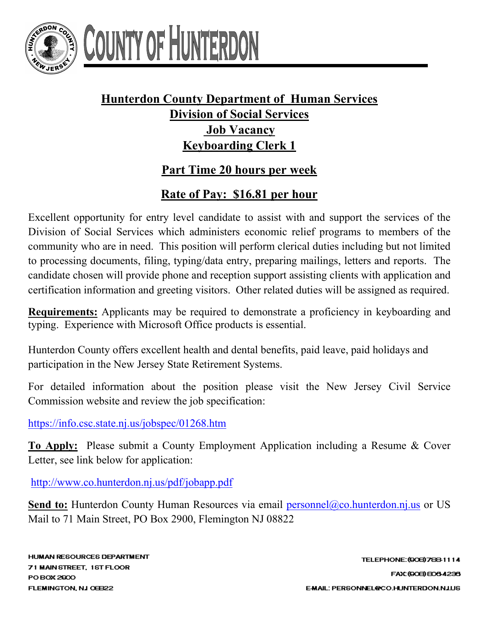

## OUNTY OF HUNTERL

## **Hunterdon County Department of Human Services Division of Social Services Job Vacancy Keyboarding Clerk 1**

## **Part Time 20 hours per week**

## **Rate of Pay: \$16.81 per hour**

Excellent opportunity for entry level candidate to assist with and support the services of the Division of Social Services which administers economic relief programs to members of the community who are in need. This position will perform clerical duties including but not limited to processing documents, filing, typing/data entry, preparing mailings, letters and reports. The candidate chosen will provide phone and reception support assisting clients with application and certification information and greeting visitors. Other related duties will be assigned as required.

**Requirements:** Applicants may be required to demonstrate a proficiency in keyboarding and typing. Experience with Microsoft Office products is essential.

Hunterdon County offers excellent health and dental benefits, paid leave, paid holidays and participation in the New Jersey State Retirement Systems.

For detailed information about the position please visit the New Jersey Civil Service Commission website and review the job specification:

<https://info.csc.state.nj.us/jobspec/01268.htm>

**To Apply:** Please submit a County Employment Application including a Resume & Cover Letter, see link below for application:

<http://www.co.hunterdon.nj.us/pdf/jobapp.pdf>

**Send to:** Hunterdon County Human Resources via email [personnel@co.hunterdon.nj.us](mailto:personnel@co.hunterdon.nj.us) or US Mail to 71 Main Street, PO Box 2900, Flemington NJ 08822